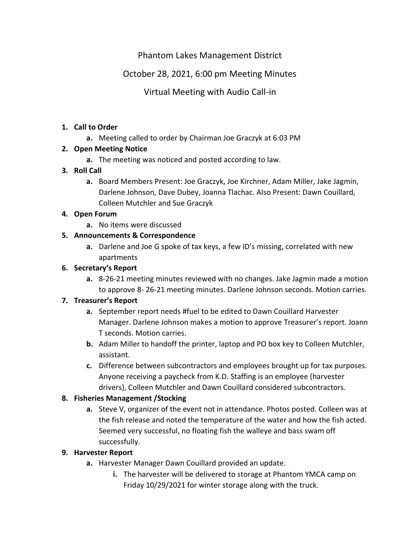## Phantom Lakes Management District

# October 28, 2021, 6:00 pm Meeting Minutes

Virtual Meeting with Audio Call-in

#### **1. Call to Order**

**a.** Meeting called to order by Chairman Joe Graczyk at 6:03 PM

#### **2. Open Meeting Notice**

**a.** The meeting was noticed and posted according to law.

#### **3. Roll Call**

**a.** Board Members Present: Joe Graczyk, Joe Kirchner, Adam Miller, Jake Jagmin, Darlene Johnson, Dave Dubey, Joanna Tlachac. Also Present: Dawn Couillard, Colleen Mutchler and Sue Graczyk

#### **4. Open Forum**

**a.** No items were discussed

## **5. Announcements & Correspondence**

**a.** Darlene and Joe G spoke of tax keys, a few ID's missing, correlated with new apartments

#### **6. Secretary's Report**

**a.** 8-26-21 meeting minutes reviewed with no changes. Jake Jagmin made a motion to approve 8- 26-21 meeting minutes. Darlene Johnson seconds. Motion carries.

#### **7. Treasurer's Report**

- **a.** September report needs #fuel to be edited to Dawn Couillard Harvester Manager. Darlene Johnson makes a motion to approve Treasurer's report. Joann T seconds. Motion carries.
- **b.** Adam Miller to handoff the printer, laptop and PO box key to Colleen Mutchler, assistant.
- **c.** Difference between subcontractors and employees brought up for tax purposes. Anyone receiving a paycheck from K.D. Staffing is an employee (harvester drivers), Colleen Mutchler and Dawn Couillard considered subcontractors.

## **8. Fisheries Management /Stocking**

**a.** Steve V, organizer of the event not in attendance. Photos posted. Colleen was at the fish release and noted the temperature of the water and how the fish acted. Seemed very successful, no floating fish the walleye and bass swam off successfully.

## **9. Harvester Report**

- **a.** Harvester Manager Dawn Couillard provided an update.
	- **i.** The harvester will be delivered to storage at Phantom YMCA camp on Friday 10/29/2021 for winter storage along with the truck.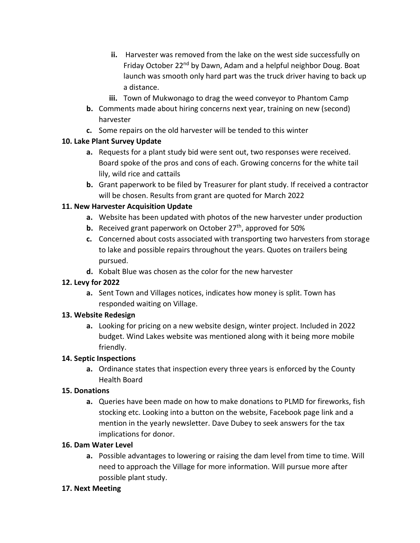- **ii.** Harvester was removed from the lake on the west side successfully on Friday October 22<sup>nd</sup> by Dawn, Adam and a helpful neighbor Doug. Boat launch was smooth only hard part was the truck driver having to back up a distance.
- **iii.** Town of Mukwonago to drag the weed conveyor to Phantom Camp
- **b.** Comments made about hiring concerns next year, training on new (second) harvester
- **c.** Some repairs on the old harvester will be tended to this winter

#### **10. Lake Plant Survey Update**

- **a.** Requests for a plant study bid were sent out, two responses were received. Board spoke of the pros and cons of each. Growing concerns for the white tail lily, wild rice and cattails
- **b.** Grant paperwork to be filed by Treasurer for plant study. If received a contractor will be chosen. Results from grant are quoted for March 2022

## **11. New Harvester Acquisition Update**

- **a.** Website has been updated with photos of the new harvester under production
- **b.** Received grant paperwork on October 27<sup>th</sup>, approved for 50%
- **c.** Concerned about costs associated with transporting two harvesters from storage to lake and possible repairs throughout the years. Quotes on trailers being pursued.
- **d.** Kobalt Blue was chosen as the color for the new harvester

## **12. Levy for 2022**

**a.** Sent Town and Villages notices, indicates how money is split. Town has responded waiting on Village.

## **13. Website Redesign**

**a.** Looking for pricing on a new website design, winter project. Included in 2022 budget. Wind Lakes website was mentioned along with it being more mobile friendly.

## **14. Septic Inspections**

**a.** Ordinance states that inspection every three years is enforced by the County Health Board

## **15. Donations**

**a.** Queries have been made on how to make donations to PLMD for fireworks, fish stocking etc. Looking into a button on the website, Facebook page link and a mention in the yearly newsletter. Dave Dubey to seek answers for the tax implications for donor.

## **16. Dam Water Level**

**a.** Possible advantages to lowering or raising the dam level from time to time. Will need to approach the Village for more information. Will pursue more after possible plant study.

## **17. Next Meeting**